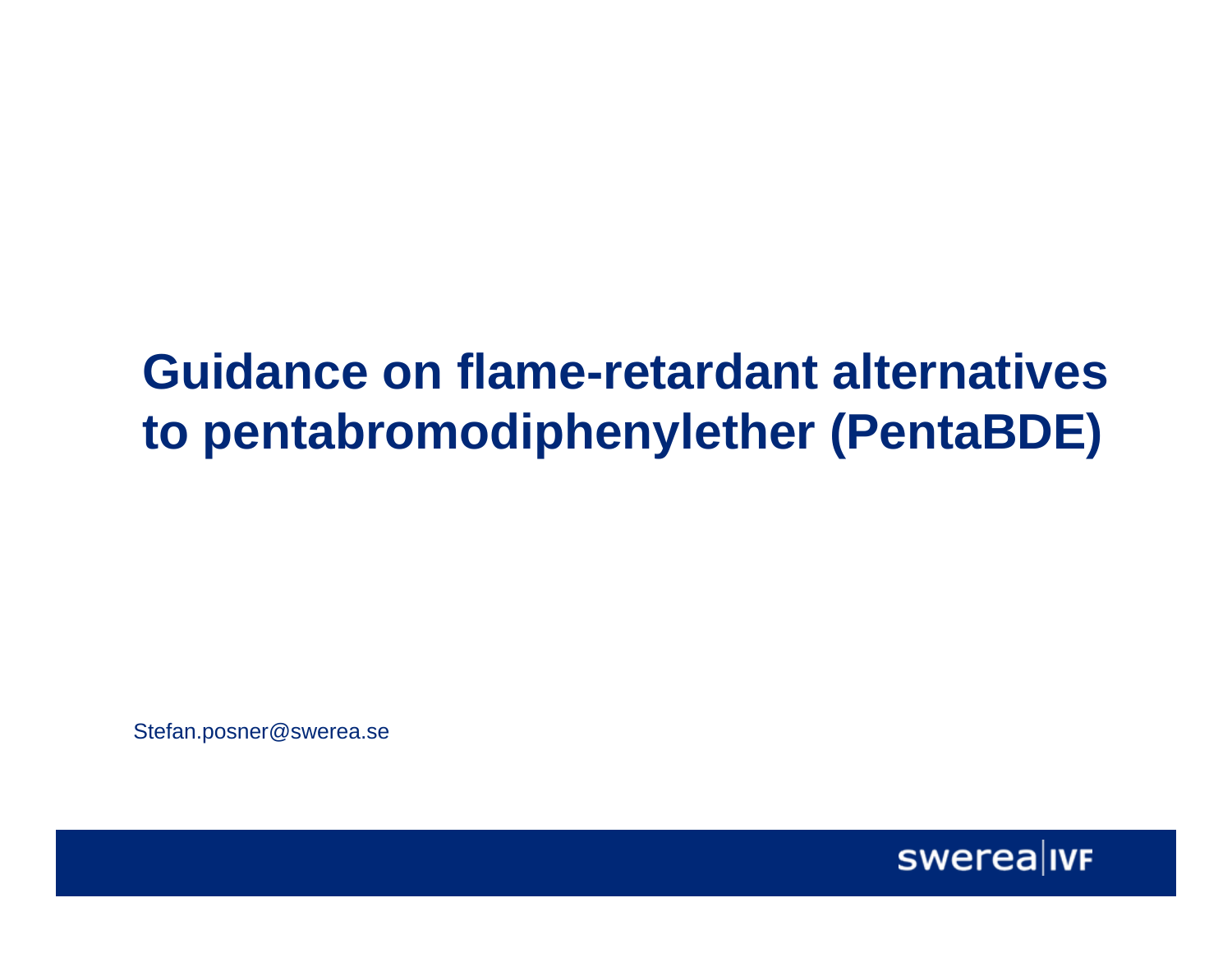### **Guidance on flame-retardant alternatives to pentabromodiphenylether (PentaBDE)**

Stefan.posner@swerea.se

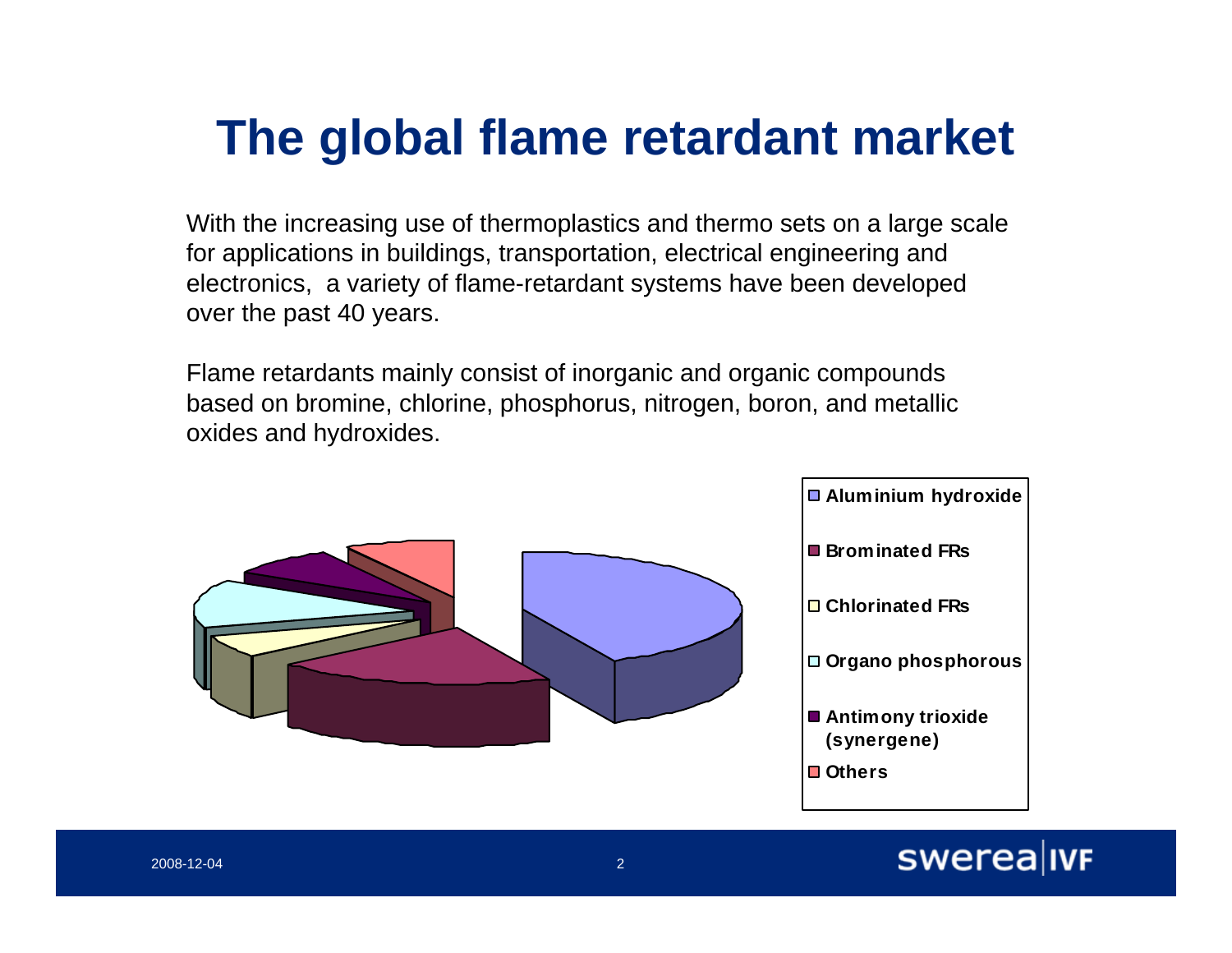# **The global flame retardant market**

With the increasing use of thermoplastics and thermo sets on a large scale for applications in buildings, transportation, electrical engineering and electronics, a variety of flame-retardant systems have been developed over the past 40 years.

Flame retardants mainly consist of inorganic and organic compounds based on bromine, chlorine, phosphorus, nitrogen, boron, and metallic oxides and hydroxides.



#### swerea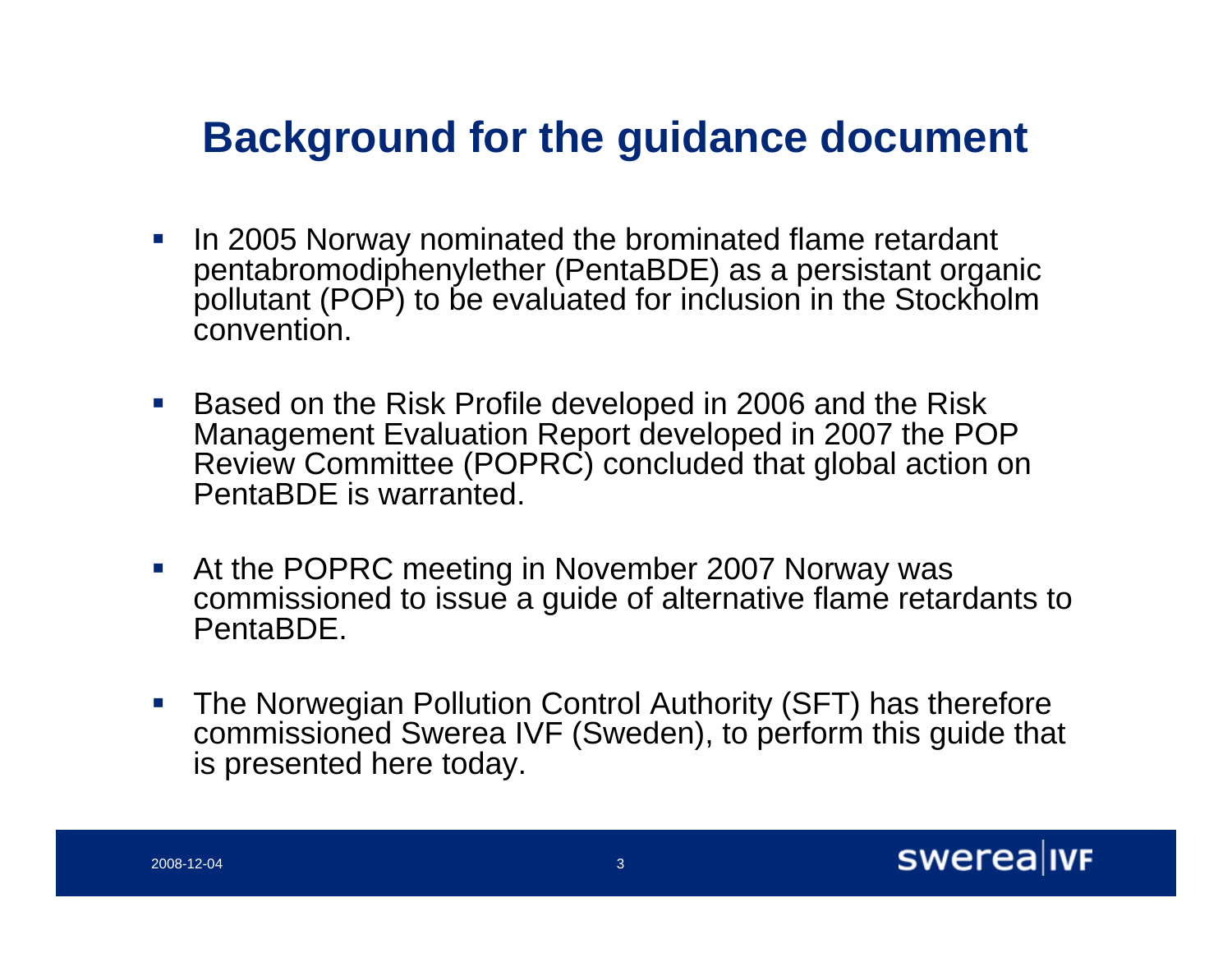#### **Background for the guidance document**

- $\Box$  In 2005 Norway nominated the brominated flame retardant pentabromodiphenylether (PentaBDE) as a persistant organic pollutant (POP) to be evaluated for inclusion in the Stockholm convention.
- Based on the Risk Profile developed in 2006 and the Risk Management Evaluation Report developed in 2007 the POP Review Committee (POPRC) concluded that global action on PentaBDE is warranted.
- $\mathcal{L}_{\mathcal{A}}$  At the POPRC meeting in November 2007 Norway was commissioned to issue a guide of alternative flame retardants to PentaBDE.
- $\mathcal{L}_{\mathcal{A}}$  The Norwegian Pollution Control Authority (SFT) has therefore commissioned Swerea IVF (Sweden), to perform this guide that is presented here today.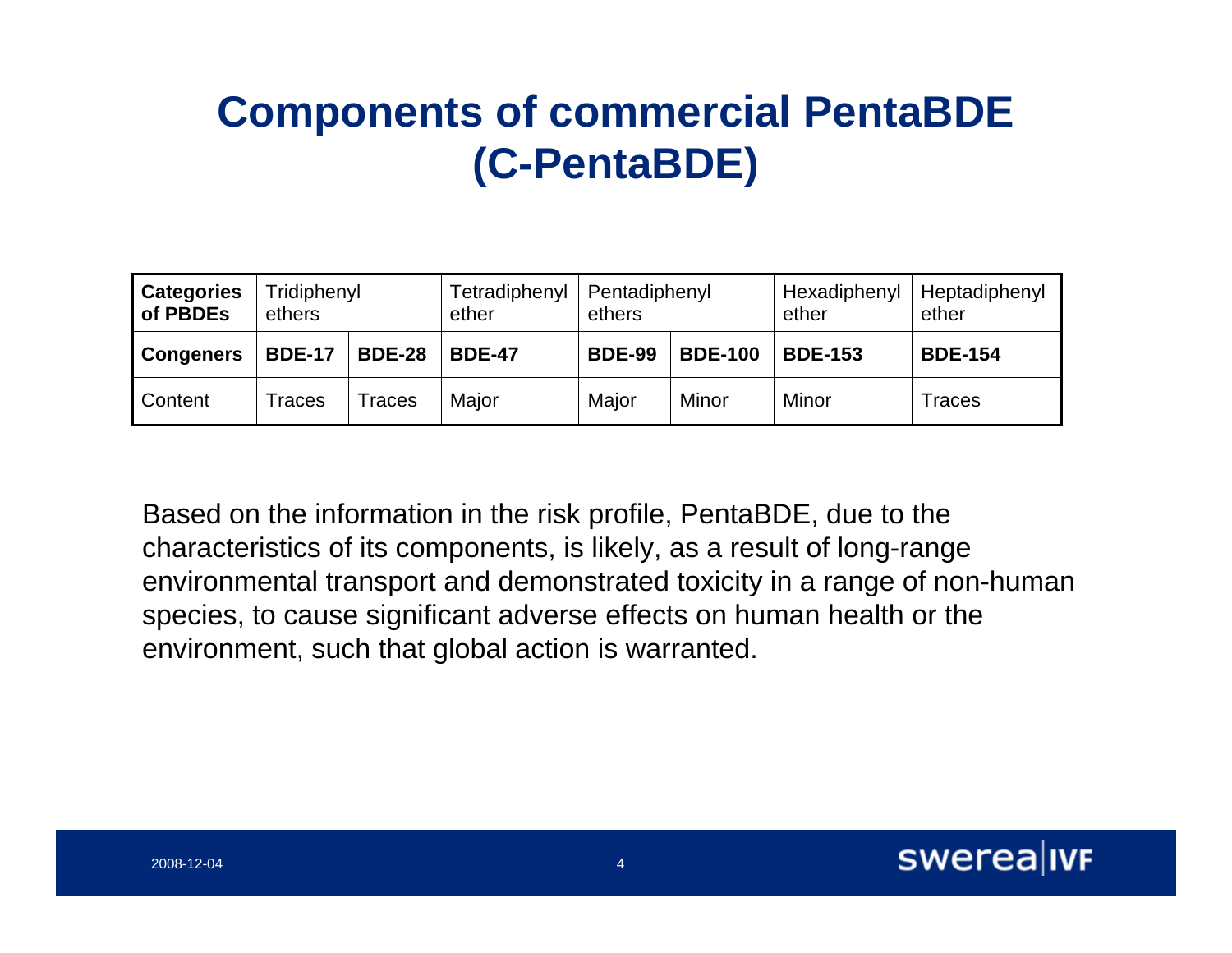### **Components of commercial PentaBDE (C-PentaBDE)**

| <b>Categories</b><br>of PBDEs | Tridiphenyl<br>ethers |               | Tetradiphenyl<br>ether | Pentadiphenyl<br>ethers |                | Hexadiphenyl<br>ether | Heptadiphenyl<br>ether |
|-------------------------------|-----------------------|---------------|------------------------|-------------------------|----------------|-----------------------|------------------------|
| <b>Congeners</b>              | <b>BDE-17</b>         | <b>BDE-28</b> | <b>BDE-47</b>          | <b>BDE-99</b>           | <b>BDE-100</b> | <b>BDE-153</b>        | <b>BDE-154</b>         |
| Content                       | Traces                | races         | Major                  | Major                   | Minor          | Minor                 | Traces                 |

Based on the information in the risk profile, PentaBDE, due to the characteristics of its components, is likely, as a result of long-range environmental transport and demonstrated toxicity in a range of non-human species, to cause significant adverse effects on human health or the environment, such that global action is warranted.

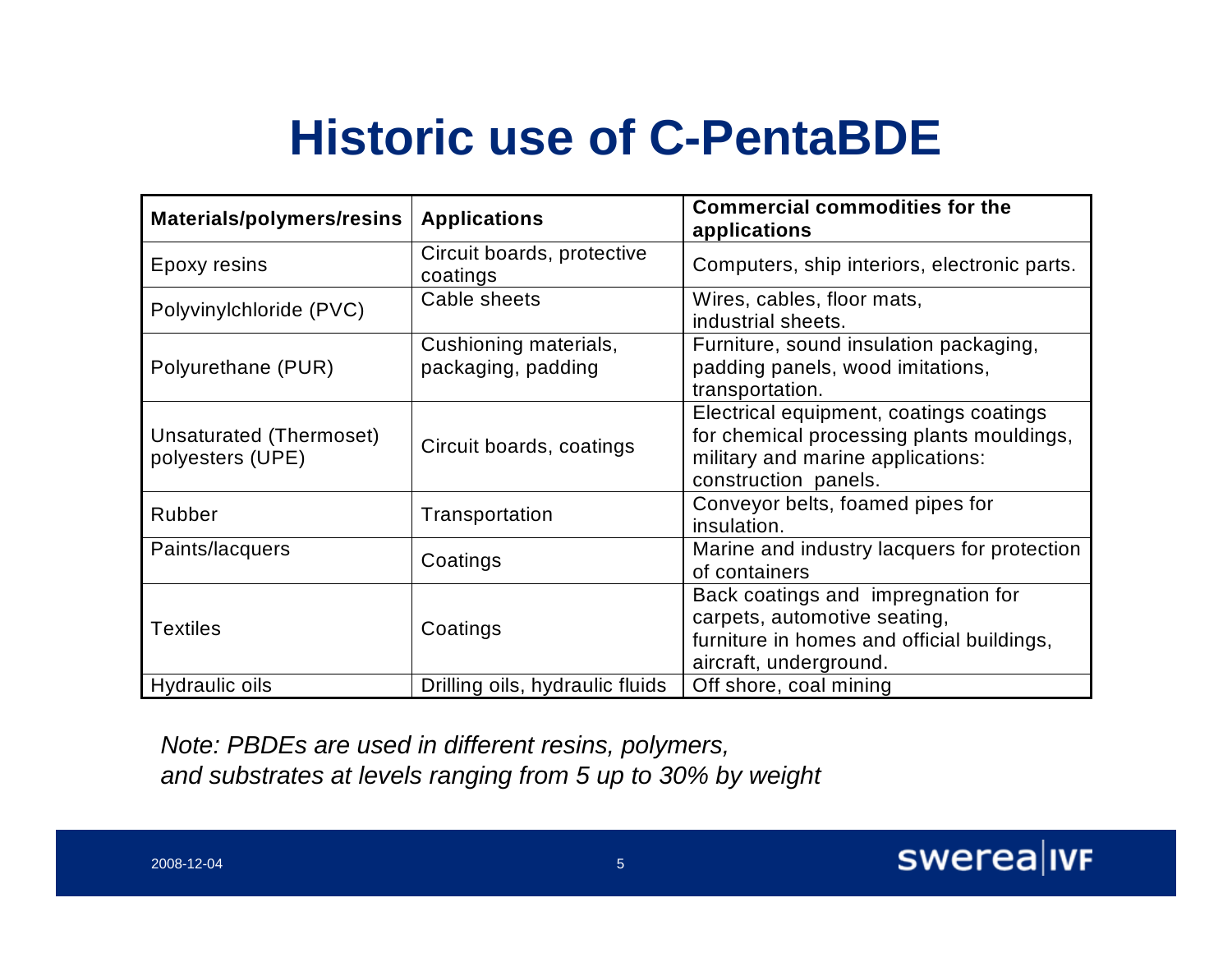# **Historic use of C-PentaBDE**

| Materials/polymers/resins                   | <b>Applications</b>                         | <b>Commercial commodities for the</b><br>applications                                                                                             |
|---------------------------------------------|---------------------------------------------|---------------------------------------------------------------------------------------------------------------------------------------------------|
| Epoxy resins                                | Circuit boards, protective<br>coatings      | Computers, ship interiors, electronic parts.                                                                                                      |
| Polyvinylchloride (PVC)                     | Cable sheets                                | Wires, cables, floor mats,<br>industrial sheets.                                                                                                  |
| Polyurethane (PUR)                          | Cushioning materials,<br>packaging, padding | Furniture, sound insulation packaging,<br>padding panels, wood imitations,<br>transportation.                                                     |
| Unsaturated (Thermoset)<br>polyesters (UPE) | Circuit boards, coatings                    | Electrical equipment, coatings coatings<br>for chemical processing plants mouldings,<br>military and marine applications:<br>construction panels. |
| Rubber                                      | Transportation                              | Conveyor belts, foamed pipes for<br>insulation.                                                                                                   |
| Paints/lacquers                             | Coatings                                    | Marine and industry lacquers for protection<br>of containers                                                                                      |
| <b>Textiles</b>                             | Coatings                                    | Back coatings and impregnation for<br>carpets, automotive seating,<br>furniture in homes and official buildings,<br>aircraft, underground.        |
| Hydraulic oils                              | Drilling oils, hydraulic fluids             | Off shore, coal mining                                                                                                                            |

*Note: PBDEs are used in different resins, polymers, and substrates at levels ranging from 5 up to 30% by weight*

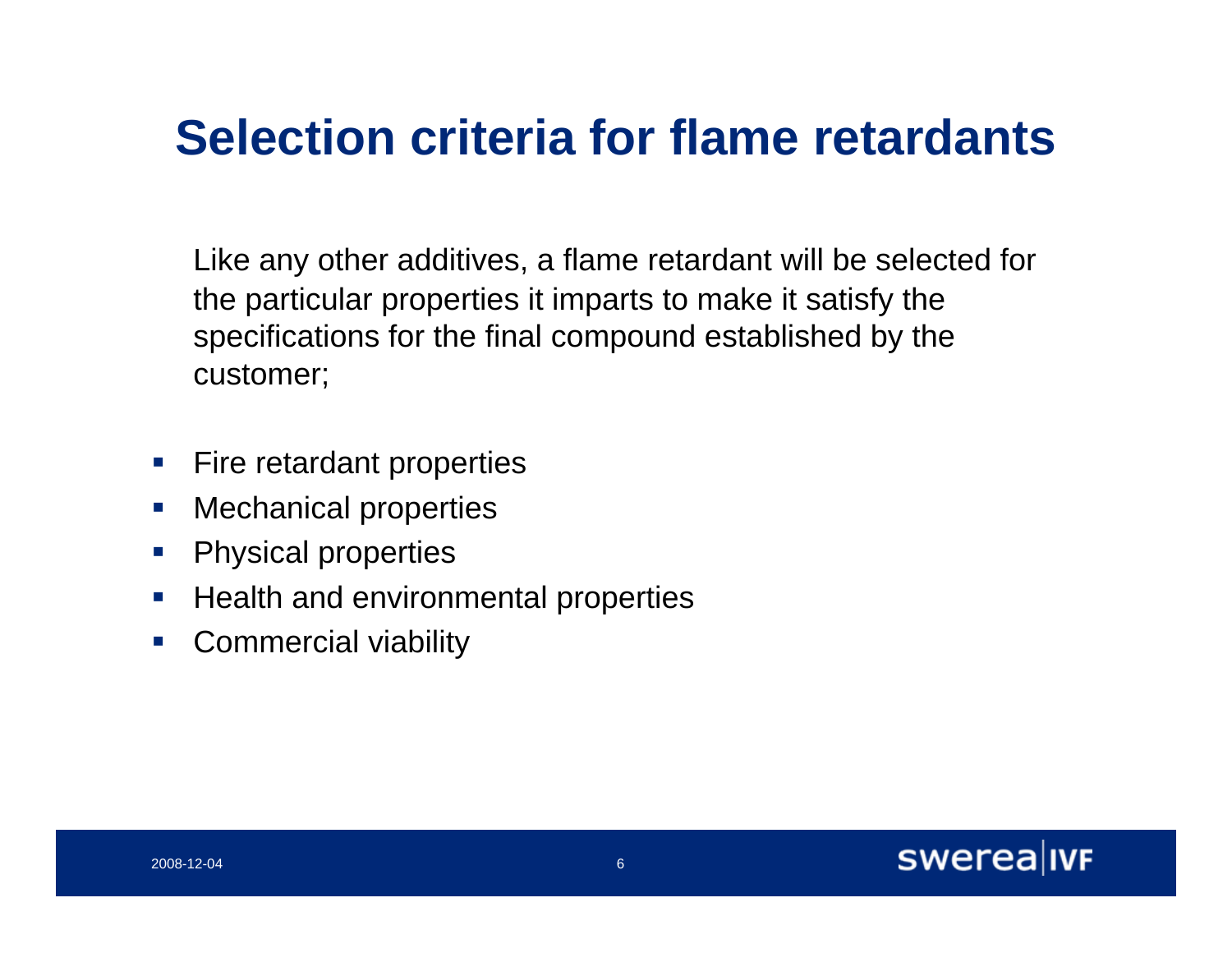## **Selection criteria for flame retardants**

Like any other additives, a flame retardant will be selected for the particular properties it imparts to make it satisfy the specifications for the final compound established by the customer;

- $\mathcal{L}_{\mathcal{A}}$ Fire retardant properties
- $\overline{\phantom{a}}$ Mechanical properties
- $\mathcal{L}_{\mathcal{A}}$ Physical properties
- $\mathcal{L}_{\mathcal{A}}$ Health and environmental properties
- $\mathcal{C}^{\mathcal{A}}$ Commercial viability

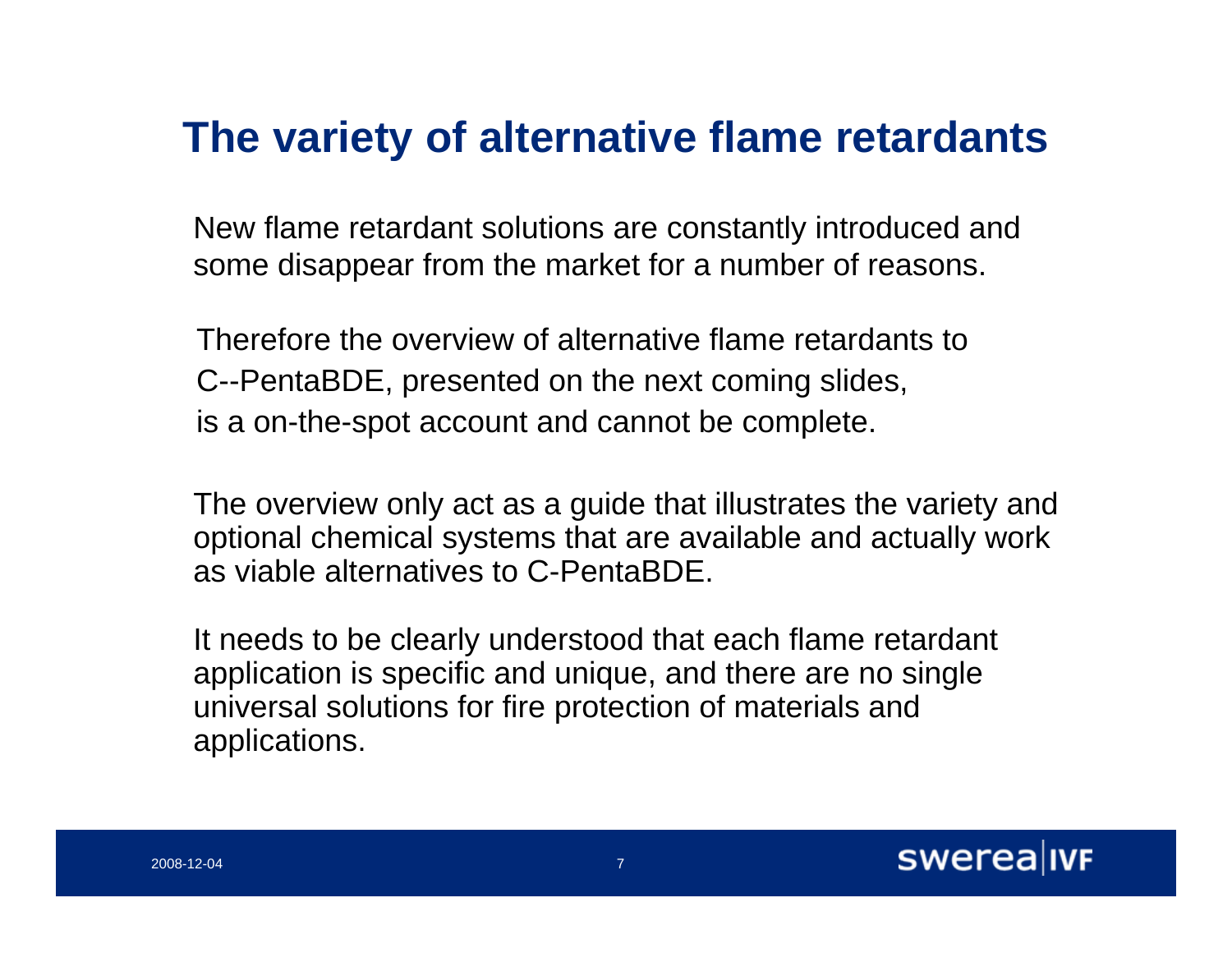#### **The variety of alternative flame retardants**

New flame retardant solutions are constantly introduced and some disappear from the market for a number of reasons.

Therefore the overview of alternative flame retardants to C--PentaBDE, presented on the next coming slides, is a on-the-spot account and cannot be complete.

The overview only act as a guide that illustrates the variety and optional chemical systems that are available and actually work as viable alternatives to C-PentaBDE.

It needs to be clearly understood that each flame retardant application is specific and unique, and there are no single universal solutions for fire protection of materials and applications.

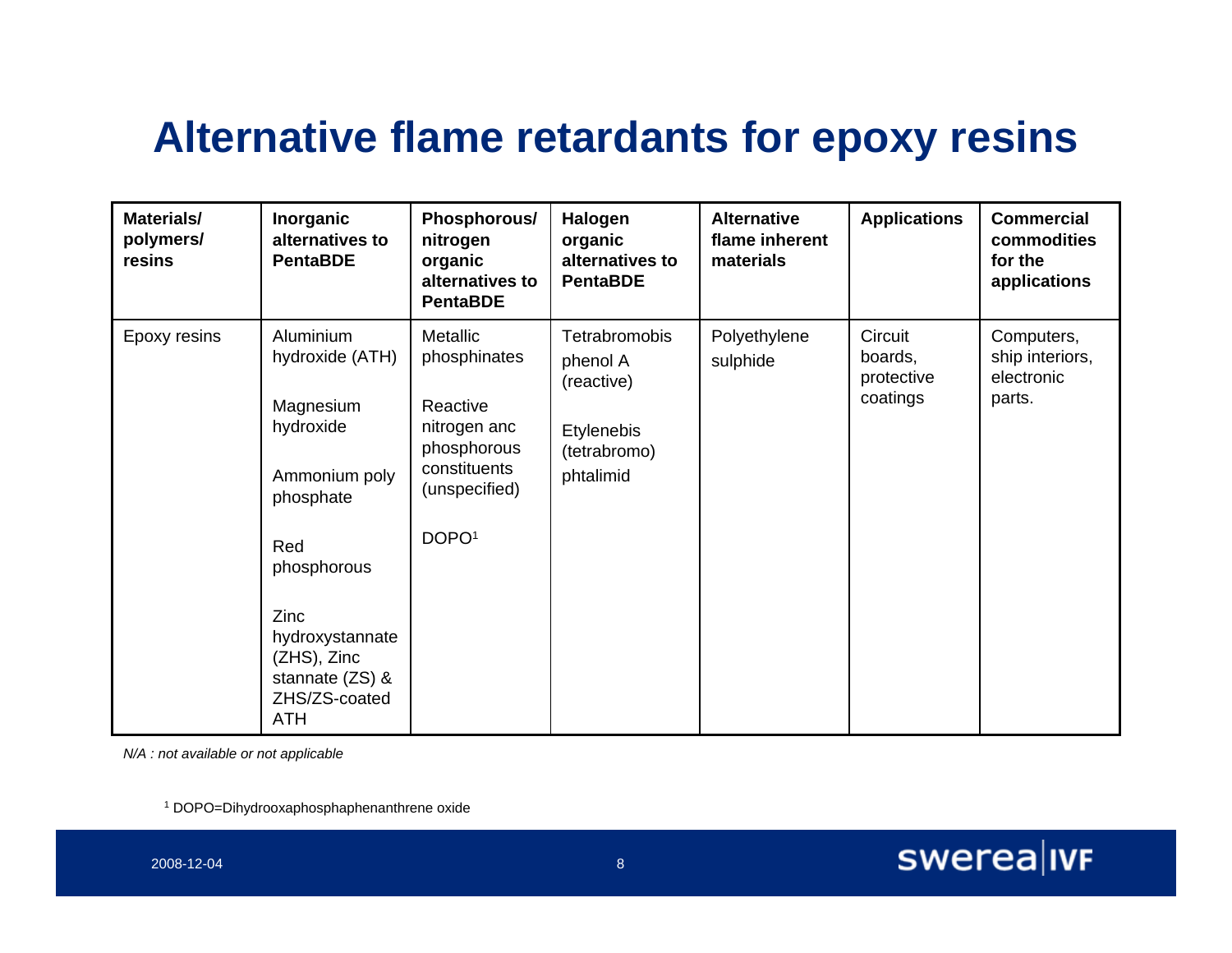#### **Alternative flame retardants for epoxy resins**

| <b>Materials/</b><br>polymers/<br>resins | Inorganic<br>alternatives to<br><b>PentaBDE</b>                                                                                                                                                        | Phosphorous/<br>nitrogen<br>organic<br>alternatives to<br><b>PentaBDE</b>                                                 | Halogen<br>organic<br>alternatives to<br><b>PentaBDE</b>                           | <b>Alternative</b><br>flame inherent<br>materials | <b>Applications</b>                          | <b>Commercial</b><br>commodities<br>for the<br>applications |
|------------------------------------------|--------------------------------------------------------------------------------------------------------------------------------------------------------------------------------------------------------|---------------------------------------------------------------------------------------------------------------------------|------------------------------------------------------------------------------------|---------------------------------------------------|----------------------------------------------|-------------------------------------------------------------|
| Epoxy resins                             | Aluminium<br>hydroxide (ATH)<br>Magnesium<br>hydroxide<br>Ammonium poly<br>phosphate<br>Red<br>phosphorous<br>Zinc<br>hydroxystannate<br>(ZHS), Zinc<br>stannate (ZS) &<br>ZHS/ZS-coated<br><b>ATH</b> | Metallic<br>phosphinates<br>Reactive<br>nitrogen anc<br>phosphorous<br>constituents<br>(unspecified)<br>DOPO <sup>1</sup> | Tetrabromobis<br>phenol A<br>(reactive)<br>Etylenebis<br>(tetrabromo)<br>phtalimid | Polyethylene<br>sulphide                          | Circuit<br>boards,<br>protective<br>coatings | Computers,<br>ship interiors,<br>electronic<br>parts.       |

*N/A : not available or not applicable*

1 DOPO=Dihydrooxaphosphaphenanthrene oxide

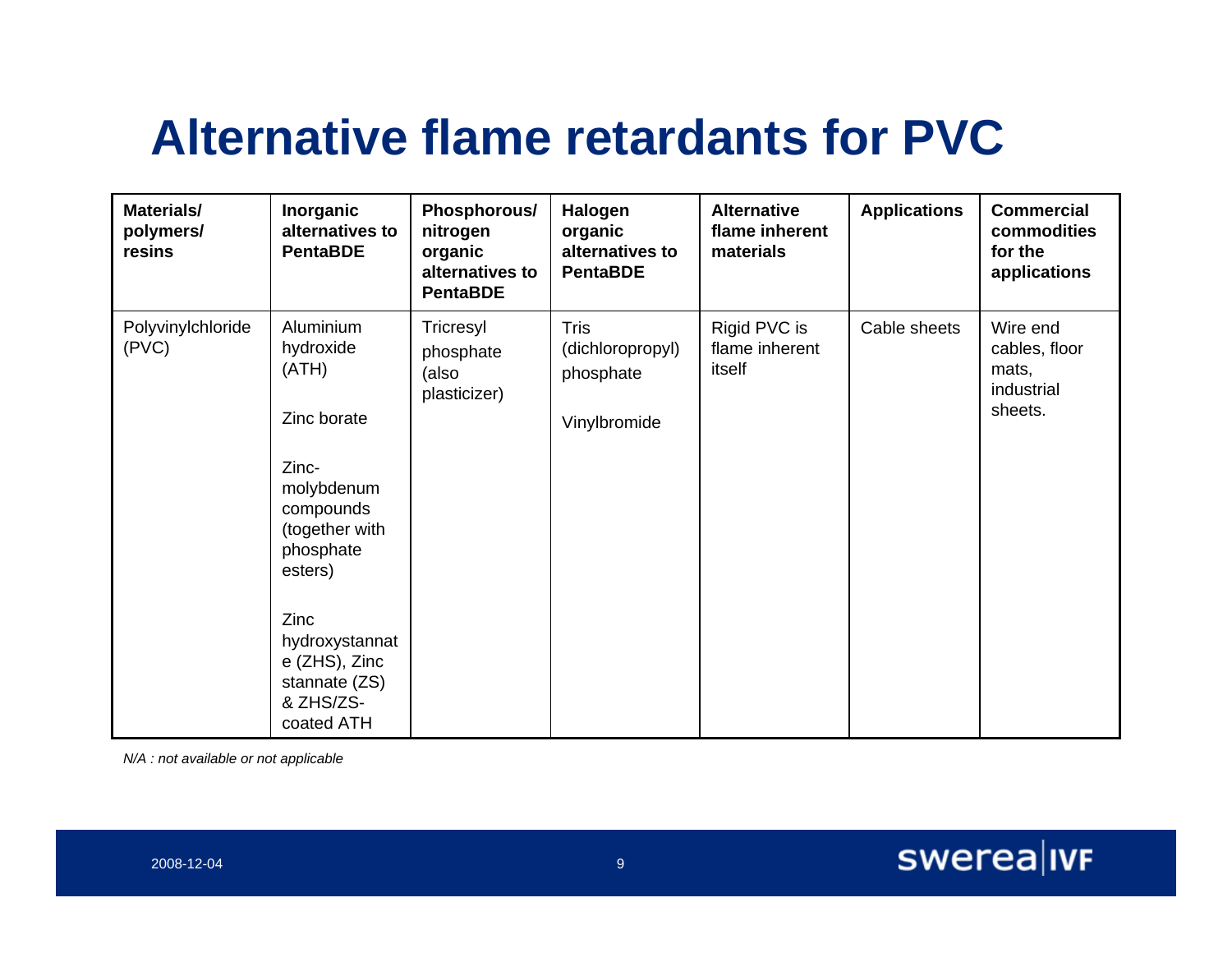# **Alternative flame retardants for PVC**

| Materials/<br>polymers/<br>resins | Inorganic<br>alternatives to<br><b>PentaBDE</b>                                                                                                                                                                     | Phosphorous/<br>nitrogen<br>organic<br>alternatives to<br><b>PentaBDE</b> | Halogen<br>organic<br>alternatives to<br><b>PentaBDE</b> | <b>Alternative</b><br>flame inherent<br>materials | <b>Applications</b> | <b>Commercial</b><br>commodities<br>for the<br>applications |
|-----------------------------------|---------------------------------------------------------------------------------------------------------------------------------------------------------------------------------------------------------------------|---------------------------------------------------------------------------|----------------------------------------------------------|---------------------------------------------------|---------------------|-------------------------------------------------------------|
| Polyvinylchloride<br>(PVC)        | Aluminium<br>hydroxide<br>(ATH)<br>Zinc borate<br>Zinc-<br>molybdenum<br>compounds<br>(together with<br>phosphate<br>esters)<br>Zinc<br>hydroxystannat<br>e (ZHS), Zinc<br>stannate (ZS)<br>& ZHS/ZS-<br>coated ATH | Tricresyl<br>phosphate<br>(also<br>plasticizer)                           | Tris<br>(dichloropropyl)<br>phosphate<br>Vinylbromide    | Rigid PVC is<br>flame inherent<br>itself          | Cable sheets        | Wire end<br>cables, floor<br>mats,<br>industrial<br>sheets. |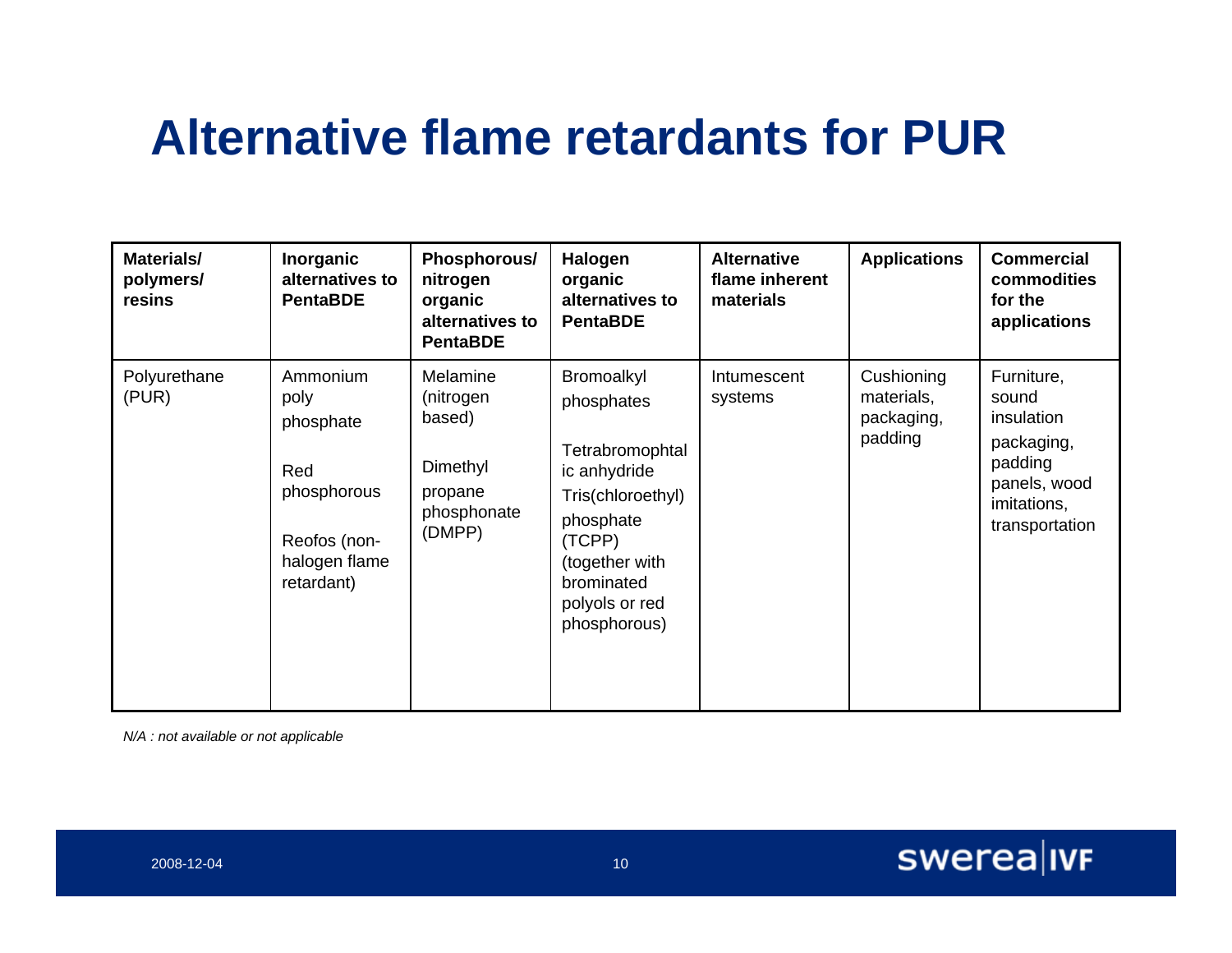# **Alternative flame retardants for PUR**

| Materials/<br>polymers/<br>resins | Inorganic<br>alternatives to<br><b>PentaBDE</b>                                                    | Phosphorous/<br>nitrogen<br>organic<br>alternatives to<br><b>PentaBDE</b>       | Halogen<br>organic<br>alternatives to<br><b>PentaBDE</b>                                                                                                                  | <b>Alternative</b><br>flame inherent<br>materials | <b>Applications</b>                               | <b>Commercial</b><br>commodities<br>for the<br>applications                                                 |
|-----------------------------------|----------------------------------------------------------------------------------------------------|---------------------------------------------------------------------------------|---------------------------------------------------------------------------------------------------------------------------------------------------------------------------|---------------------------------------------------|---------------------------------------------------|-------------------------------------------------------------------------------------------------------------|
| Polyurethane<br>(PUR)             | Ammonium<br>poly<br>phosphate<br>Red<br>phosphorous<br>Reofos (non-<br>halogen flame<br>retardant) | Melamine<br>(nitrogen<br>based)<br>Dimethyl<br>propane<br>phosphonate<br>(DMPP) | Bromoalkyl<br>phosphates<br>Tetrabromophtal<br>ic anhydride<br>Tris(chloroethyl)<br>phosphate<br>(TCPP)<br>(together with<br>brominated<br>polyols or red<br>phosphorous) | Intumescent<br>systems                            | Cushioning<br>materials,<br>packaging,<br>padding | Furniture,<br>sound<br>insulation<br>packaging,<br>padding<br>panels, wood<br>imitations,<br>transportation |

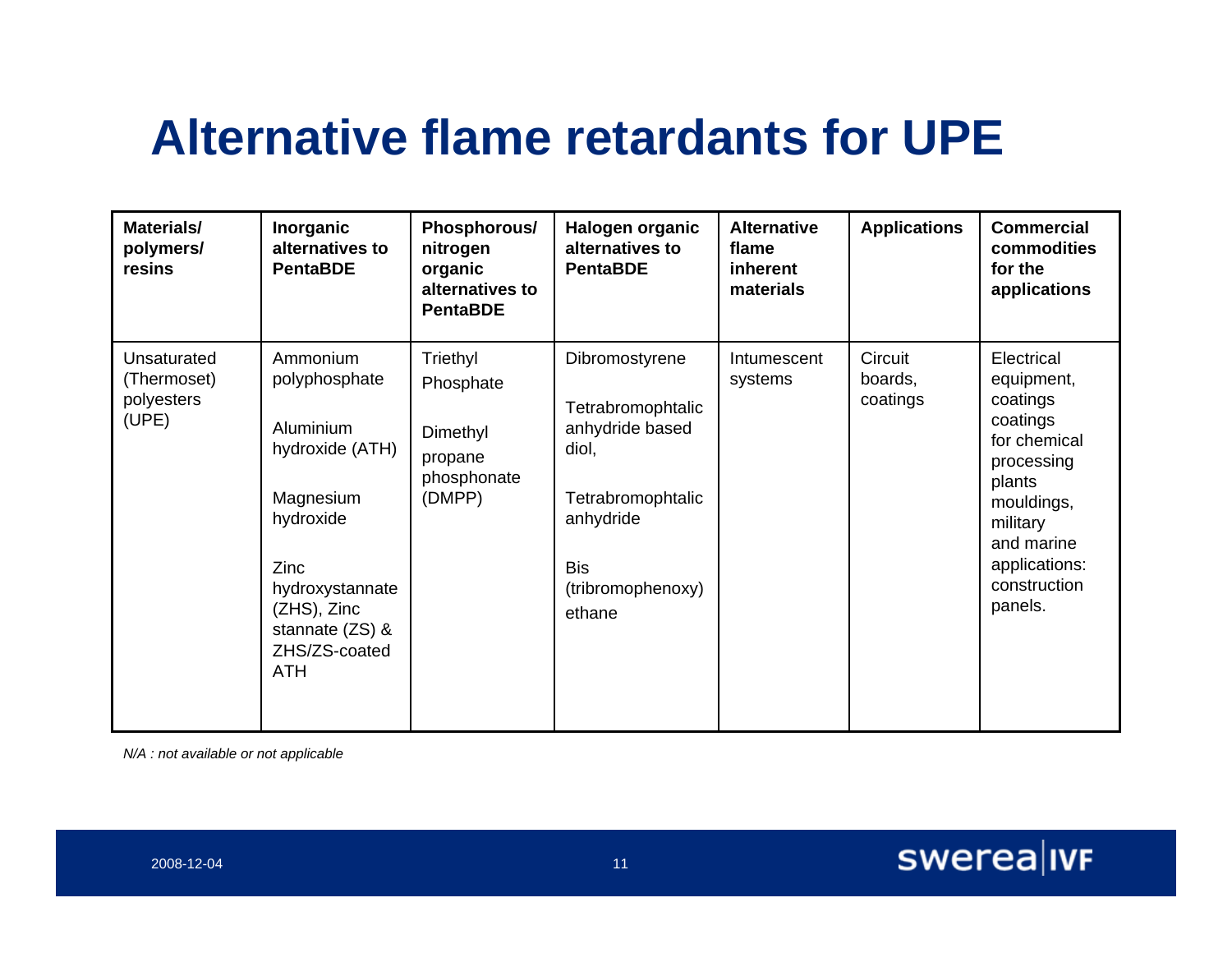# **Alternative flame retardants for UPE**

| <b>Materials/</b><br>polymers/<br>resins          | Inorganic<br>alternatives to<br><b>PentaBDE</b>                                                                                                                                    | Phosphorous/<br>nitrogen<br>organic<br>alternatives to<br><b>PentaBDE</b> | Halogen organic<br>alternatives to<br><b>PentaBDE</b>                                                                                          | <b>Alternative</b><br>flame<br>inherent<br>materials | <b>Applications</b>            | <b>Commercial</b><br>commodities<br>for the<br>applications                                                                                                                  |
|---------------------------------------------------|------------------------------------------------------------------------------------------------------------------------------------------------------------------------------------|---------------------------------------------------------------------------|------------------------------------------------------------------------------------------------------------------------------------------------|------------------------------------------------------|--------------------------------|------------------------------------------------------------------------------------------------------------------------------------------------------------------------------|
| Unsaturated<br>(Thermoset)<br>polyesters<br>(UPE) | Ammonium<br>polyphosphate<br>Aluminium<br>hydroxide (ATH)<br>Magnesium<br>hydroxide<br>Zinc<br>hydroxystannate<br>$(ZHS)$ , Zinc<br>stannate (ZS) &<br>ZHS/ZS-coated<br><b>ATH</b> | Triethyl<br>Phosphate<br>Dimethyl<br>propane<br>phosphonate<br>(DMPP)     | Dibromostyrene<br>Tetrabromophtalic<br>anhydride based<br>diol,<br>Tetrabromophtalic<br>anhydride<br><b>Bis</b><br>(tribromophenoxy)<br>ethane | Intumescent<br>systems                               | Circuit<br>boards,<br>coatings | Electrical<br>equipment,<br>coatings<br>coatings<br>for chemical<br>processing<br>plants<br>mouldings,<br>military<br>and marine<br>applications:<br>construction<br>panels. |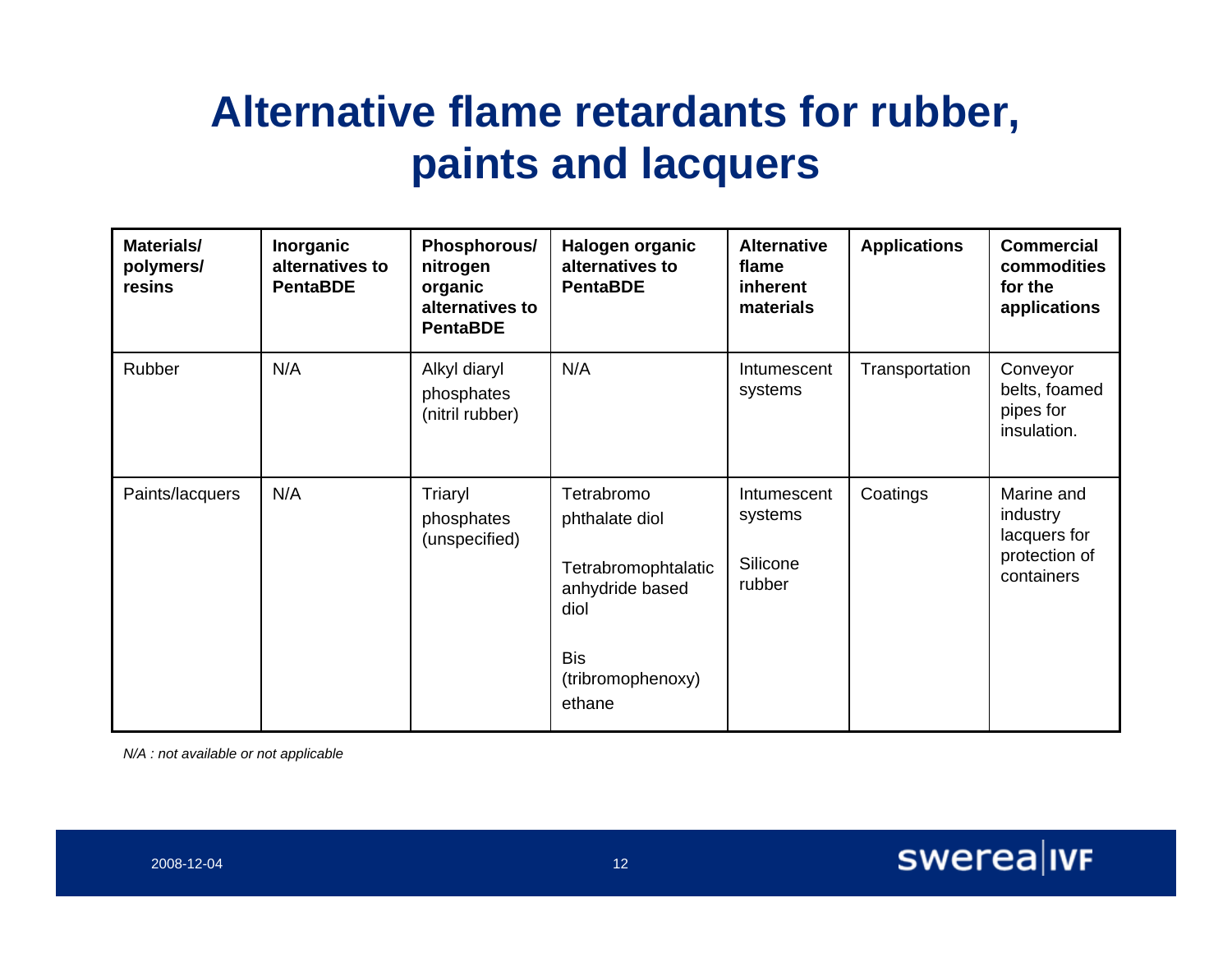#### **Alternative flame retardants for rubber, paints and lacquers**

| <b>Materials/</b><br>polymers/<br>resins | Inorganic<br>alternatives to<br><b>PentaBDE</b> | Phosphorous/<br>nitrogen<br>organic<br>alternatives to<br><b>PentaBDE</b> | Halogen organic<br>alternatives to<br><b>PentaBDE</b>                                                                       | <b>Alternative</b><br>flame<br>inherent<br>materials | <b>Applications</b> | <b>Commercial</b><br>commodities<br>for the<br>applications           |
|------------------------------------------|-------------------------------------------------|---------------------------------------------------------------------------|-----------------------------------------------------------------------------------------------------------------------------|------------------------------------------------------|---------------------|-----------------------------------------------------------------------|
| Rubber                                   | N/A                                             | Alkyl diaryl<br>phosphates<br>(nitril rubber)                             | N/A                                                                                                                         | Intumescent<br>systems                               | Transportation      | Conveyor<br>belts, foamed<br>pipes for<br>insulation.                 |
| Paints/lacquers                          | N/A                                             | Triaryl<br>phosphates<br>(unspecified)                                    | Tetrabromo<br>phthalate diol<br>Tetrabromophtalatic<br>anhydride based<br>diol<br><b>Bis</b><br>(tribromophenoxy)<br>ethane | Intumescent<br>systems<br>Silicone<br>rubber         | Coatings            | Marine and<br>industry<br>lacquers for<br>protection of<br>containers |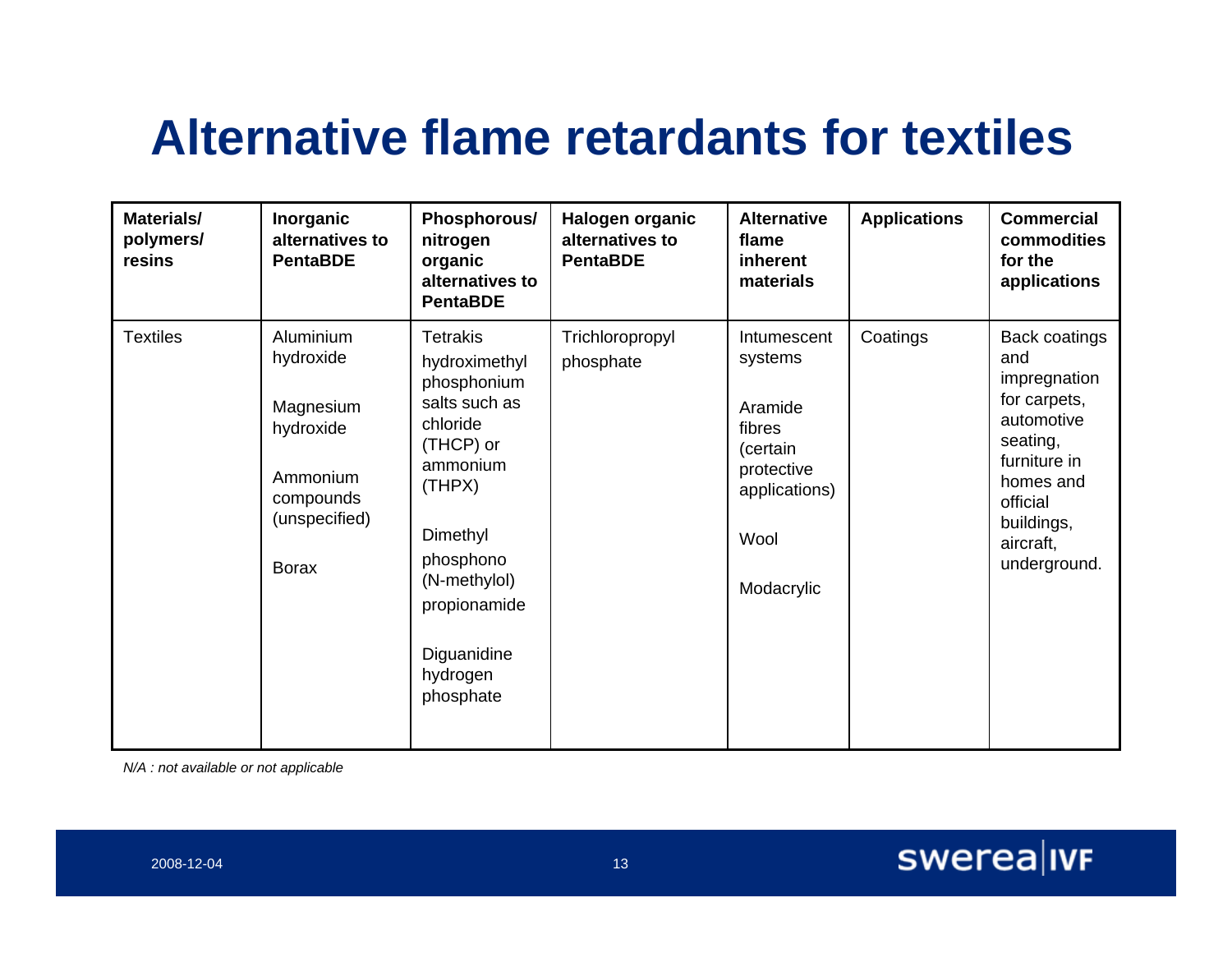# **Alternative flame retardants for textiles**

| Materials/<br>polymers/<br>resins | Inorganic<br>alternatives to<br><b>PentaBDE</b>                                                            | Phosphorous/<br>nitrogen<br>organic<br>alternatives to<br><b>PentaBDE</b>                                                                                                                                        | Halogen organic<br>alternatives to<br><b>PentaBDE</b> | <b>Alternative</b><br>flame<br>inherent<br>materials                                                         | <b>Applications</b> | <b>Commercial</b><br>commodities<br>for the<br>applications                                                                                                               |
|-----------------------------------|------------------------------------------------------------------------------------------------------------|------------------------------------------------------------------------------------------------------------------------------------------------------------------------------------------------------------------|-------------------------------------------------------|--------------------------------------------------------------------------------------------------------------|---------------------|---------------------------------------------------------------------------------------------------------------------------------------------------------------------------|
| <b>Textiles</b>                   | Aluminium<br>hydroxide<br>Magnesium<br>hydroxide<br>Ammonium<br>compounds<br>(unspecified)<br><b>Borax</b> | <b>Tetrakis</b><br>hydroximethyl<br>phosphonium<br>salts such as<br>chloride<br>(THCP) or<br>ammonium<br>(THPX)<br>Dimethyl<br>phosphono<br>(N-methylol)<br>propionamide<br>Diguanidine<br>hydrogen<br>phosphate | Trichloropropyl<br>phosphate                          | Intumescent<br>systems<br>Aramide<br>fibres<br>(certain<br>protective<br>applications)<br>Wool<br>Modacrylic | Coatings            | <b>Back coatings</b><br>and<br>impregnation<br>for carpets,<br>automotive<br>seating,<br>furniture in<br>homes and<br>official<br>buildings,<br>aircraft,<br>underground. |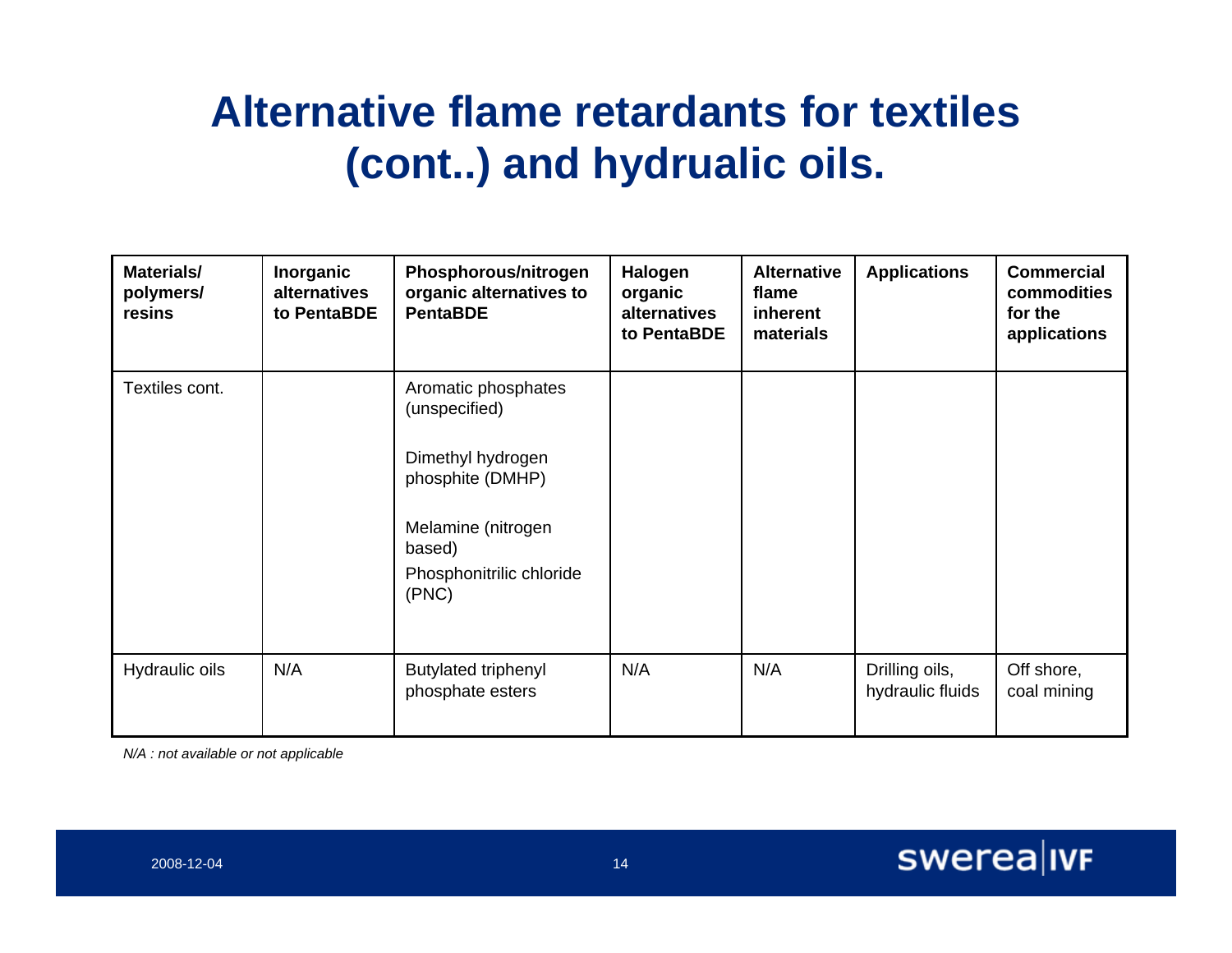#### **Alternative flame retardants for textiles (cont..) and hydrualic oils.**

| Materials/<br>polymers/<br>resins | Inorganic<br>alternatives<br>to PentaBDE | Phosphorous/nitrogen<br>organic alternatives to<br><b>PentaBDE</b>                                                                                 | Halogen<br>organic<br>alternatives<br>to PentaBDE | <b>Alternative</b><br>flame<br>inherent<br>materials | <b>Applications</b>                | <b>Commercial</b><br>commodities<br>for the<br>applications |
|-----------------------------------|------------------------------------------|----------------------------------------------------------------------------------------------------------------------------------------------------|---------------------------------------------------|------------------------------------------------------|------------------------------------|-------------------------------------------------------------|
| Textiles cont.                    |                                          | Aromatic phosphates<br>(unspecified)<br>Dimethyl hydrogen<br>phosphite (DMHP)<br>Melamine (nitrogen<br>based)<br>Phosphonitrilic chloride<br>(PNC) |                                                   |                                                      |                                    |                                                             |
| Hydraulic oils                    | N/A                                      | <b>Butylated triphenyl</b><br>phosphate esters                                                                                                     | N/A                                               | N/A                                                  | Drilling oils,<br>hydraulic fluids | Off shore,<br>coal mining                                   |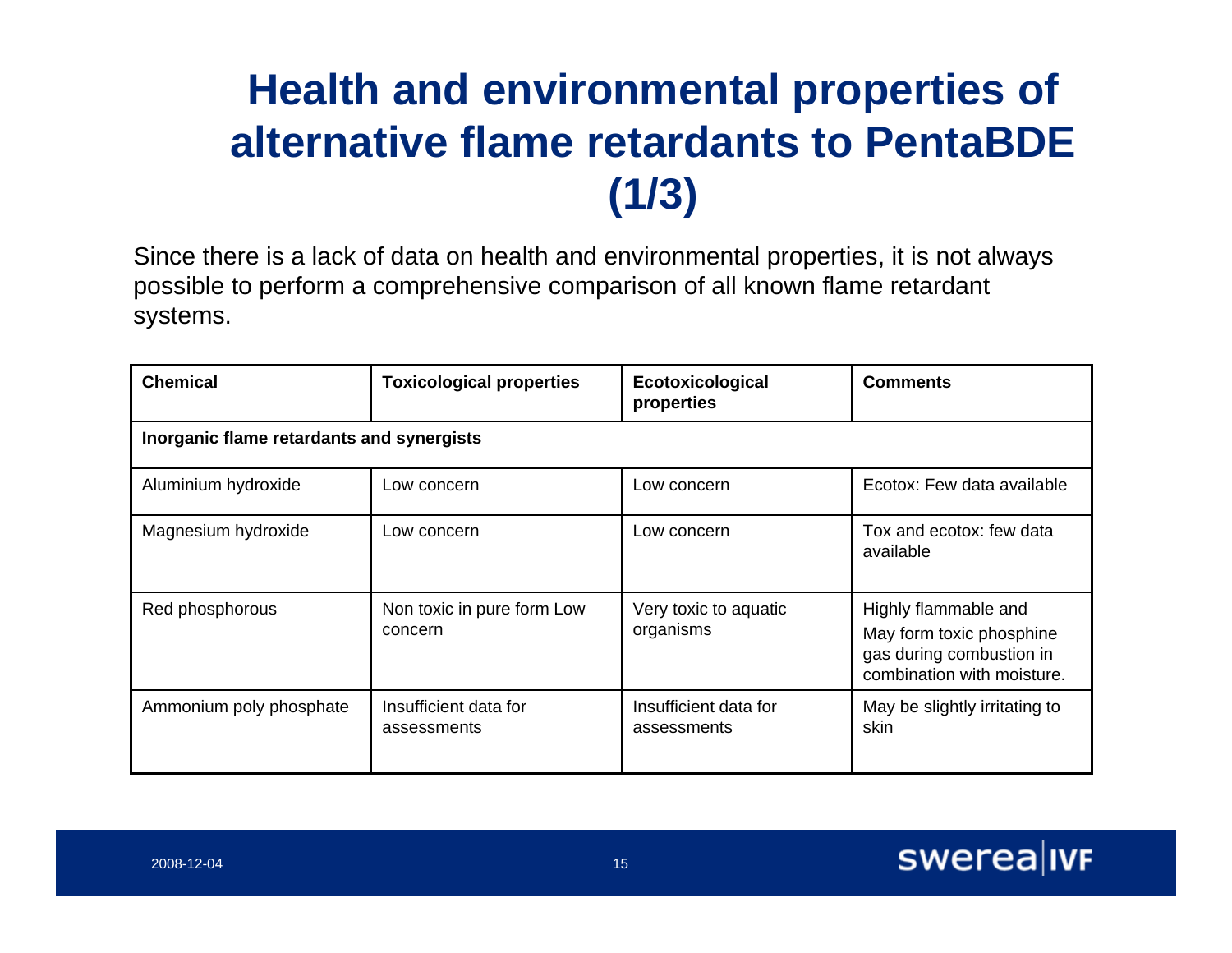### **Health and environmental properties of alternative flame retardants to PentaBDE (1/3)**

Since there is a lack of data on health and environmental properties, it is not always possible to perform a comprehensive comparison of all known flame retardant systems.

| <b>Chemical</b>         | <b>Toxicological properties</b>           | Ecotoxicological<br>properties       | <b>Comments</b>                                                                                            |  |  |  |  |  |  |
|-------------------------|-------------------------------------------|--------------------------------------|------------------------------------------------------------------------------------------------------------|--|--|--|--|--|--|
|                         | Inorganic flame retardants and synergists |                                      |                                                                                                            |  |  |  |  |  |  |
| Aluminium hydroxide     | Low concern                               | Low concern                          | Ecotox: Few data available                                                                                 |  |  |  |  |  |  |
| Magnesium hydroxide     | Low concern                               | Low concern                          | Tox and ecotox: few data<br>available                                                                      |  |  |  |  |  |  |
| Red phosphorous         | Non toxic in pure form Low<br>concern     | Very toxic to aquatic<br>organisms   | Highly flammable and<br>May form toxic phosphine<br>gas during combustion in<br>combination with moisture. |  |  |  |  |  |  |
| Ammonium poly phosphate | Insufficient data for<br>assessments      | Insufficient data for<br>assessments | May be slightly irritating to<br>skin                                                                      |  |  |  |  |  |  |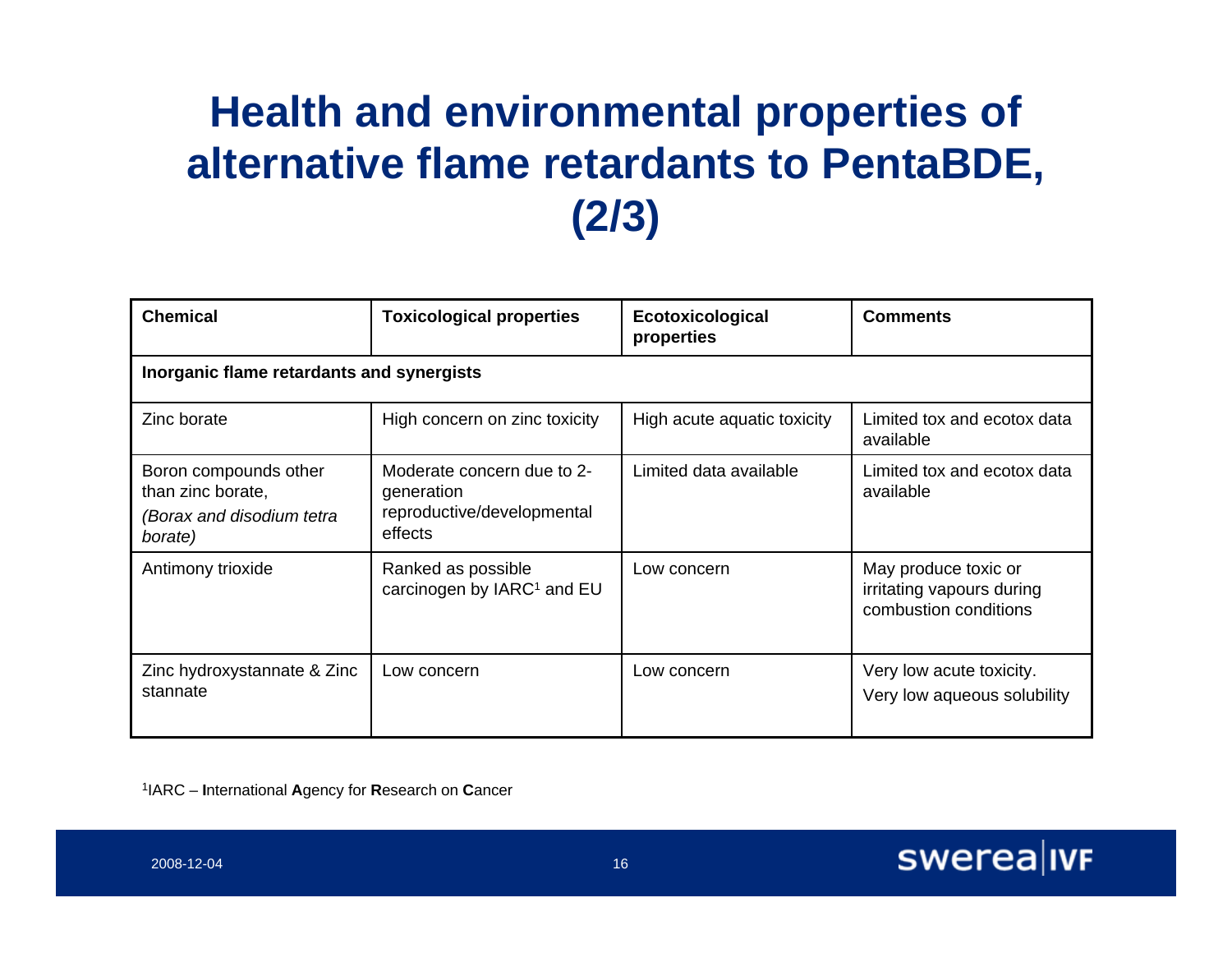### **Health and environmental properties of alternative flame retardants to PentaBDE, (2/3)**

| <b>Chemical</b>                                                                    | <b>Toxicological properties</b>                                                   | Ecotoxicological<br>properties | <b>Comments</b>                                                            |  |  |  |  |  |  |
|------------------------------------------------------------------------------------|-----------------------------------------------------------------------------------|--------------------------------|----------------------------------------------------------------------------|--|--|--|--|--|--|
|                                                                                    | Inorganic flame retardants and synergists                                         |                                |                                                                            |  |  |  |  |  |  |
| Zinc borate                                                                        | High concern on zinc toxicity                                                     | High acute aquatic toxicity    | Limited tox and ecotox data<br>available                                   |  |  |  |  |  |  |
| Boron compounds other<br>than zinc borate,<br>(Borax and disodium tetra<br>borate) | Moderate concern due to 2-<br>generation<br>reproductive/developmental<br>effects | Limited data available         | Limited tox and ecotox data<br>available                                   |  |  |  |  |  |  |
| Antimony trioxide                                                                  | Ranked as possible<br>carcinogen by IARC <sup>1</sup> and EU                      | Low concern                    | May produce toxic or<br>irritating vapours during<br>combustion conditions |  |  |  |  |  |  |
| Zinc hydroxystannate & Zinc<br>stannate                                            | Low concern                                                                       | Low concern                    | Very low acute toxicity.<br>Very low aqueous solubility                    |  |  |  |  |  |  |

1IARC – **I**nternational **A**gency for **R**esearch on **C**ancer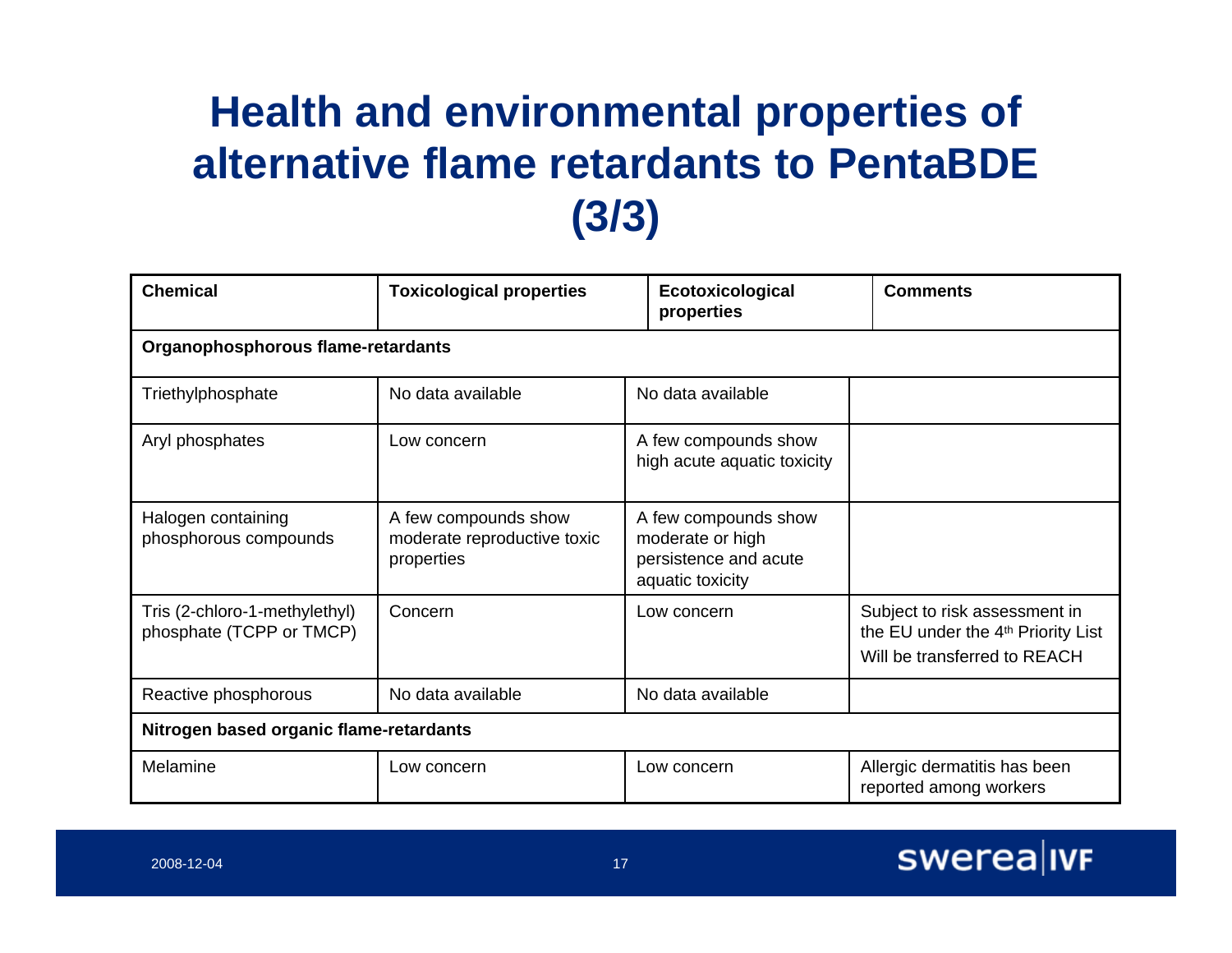### **Health and environmental properties of alternative flame retardants to PentaBDE (3/3)**

| <b>Chemical</b>                                           | <b>Toxicological properties</b>                                   | Ecotoxicological<br>properties                                                        | <b>Comments</b>                                                                                                 |  |  |  |  |  |
|-----------------------------------------------------------|-------------------------------------------------------------------|---------------------------------------------------------------------------------------|-----------------------------------------------------------------------------------------------------------------|--|--|--|--|--|
|                                                           | Organophosphorous flame-retardants                                |                                                                                       |                                                                                                                 |  |  |  |  |  |
| Triethylphosphate                                         | No data available                                                 | No data available                                                                     |                                                                                                                 |  |  |  |  |  |
| Aryl phosphates                                           | Low concern                                                       | A few compounds show<br>high acute aquatic toxicity                                   |                                                                                                                 |  |  |  |  |  |
| Halogen containing<br>phosphorous compounds               | A few compounds show<br>moderate reproductive toxic<br>properties | A few compounds show<br>moderate or high<br>persistence and acute<br>aquatic toxicity |                                                                                                                 |  |  |  |  |  |
| Tris (2-chloro-1-methylethyl)<br>phosphate (TCPP or TMCP) | Concern                                                           | Low concern                                                                           | Subject to risk assessment in<br>the EU under the 4 <sup>th</sup> Priority List<br>Will be transferred to REACH |  |  |  |  |  |
| Reactive phosphorous                                      | No data available                                                 | No data available                                                                     |                                                                                                                 |  |  |  |  |  |
| Nitrogen based organic flame-retardants                   |                                                                   |                                                                                       |                                                                                                                 |  |  |  |  |  |
| Melamine                                                  | Low concern                                                       | Low concern                                                                           | Allergic dermatitis has been<br>reported among workers                                                          |  |  |  |  |  |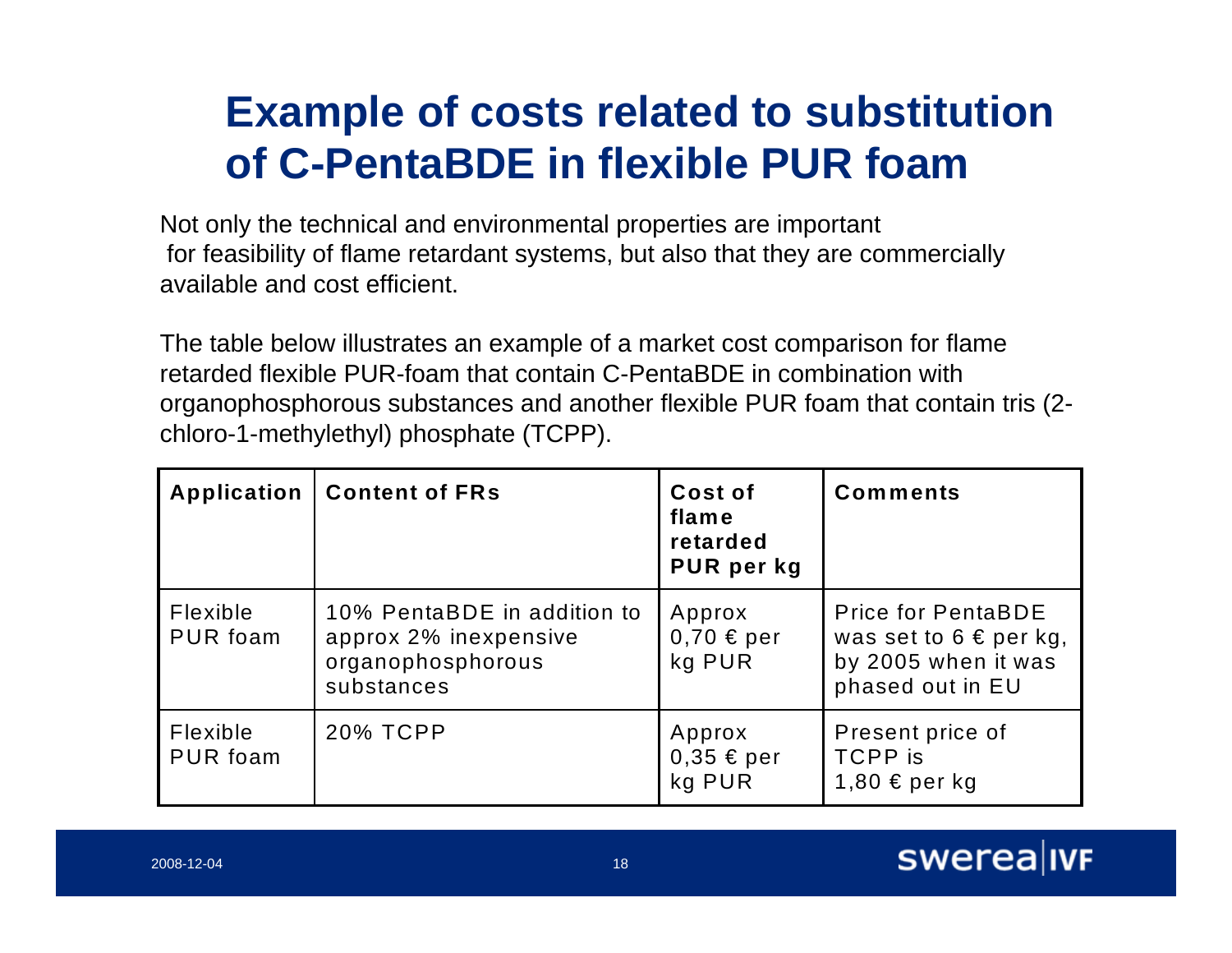#### **Example of costs related to substitution of C-PentaBDE in flexible PUR foam**

Not only the technical and environmental properties are important for feasibility of flame retardant systems, but also that they are commercially available and cost efficient.

The table below illustrates an example of a market cost comparison for flame retarded flexible PUR-foam that contain C-PentaBDE in combination with organophosphorous substances and another flexible PUR foam that contain tris (2 chloro-1-methylethyl) phosphate (TCPP).

| Application                 | <b>Content of FRs</b>                                                                   | Cost of<br>flame<br>retarded<br>PUR per kg | <b>Comments</b>                                                                                    |
|-----------------------------|-----------------------------------------------------------------------------------------|--------------------------------------------|----------------------------------------------------------------------------------------------------|
| <b>Flexible</b><br>PUR foam | 10% PentaBDE in addition to<br>approx 2% inexpensive<br>organophosphorous<br>substances | Approx<br>$0,70 \in per$<br>kg PUR         | <b>Price for PentaBDE</b><br>was set to $6 \in per$ kg,<br>by 2005 when it was<br>phased out in EU |
| Flexible<br><b>PUR foam</b> | 20% TCPP                                                                                | Approx<br>$0,35 \in per$<br>kg PUR         | Present price of<br><b>TCPP</b> is<br>1,80 € per kg                                                |

#### swerea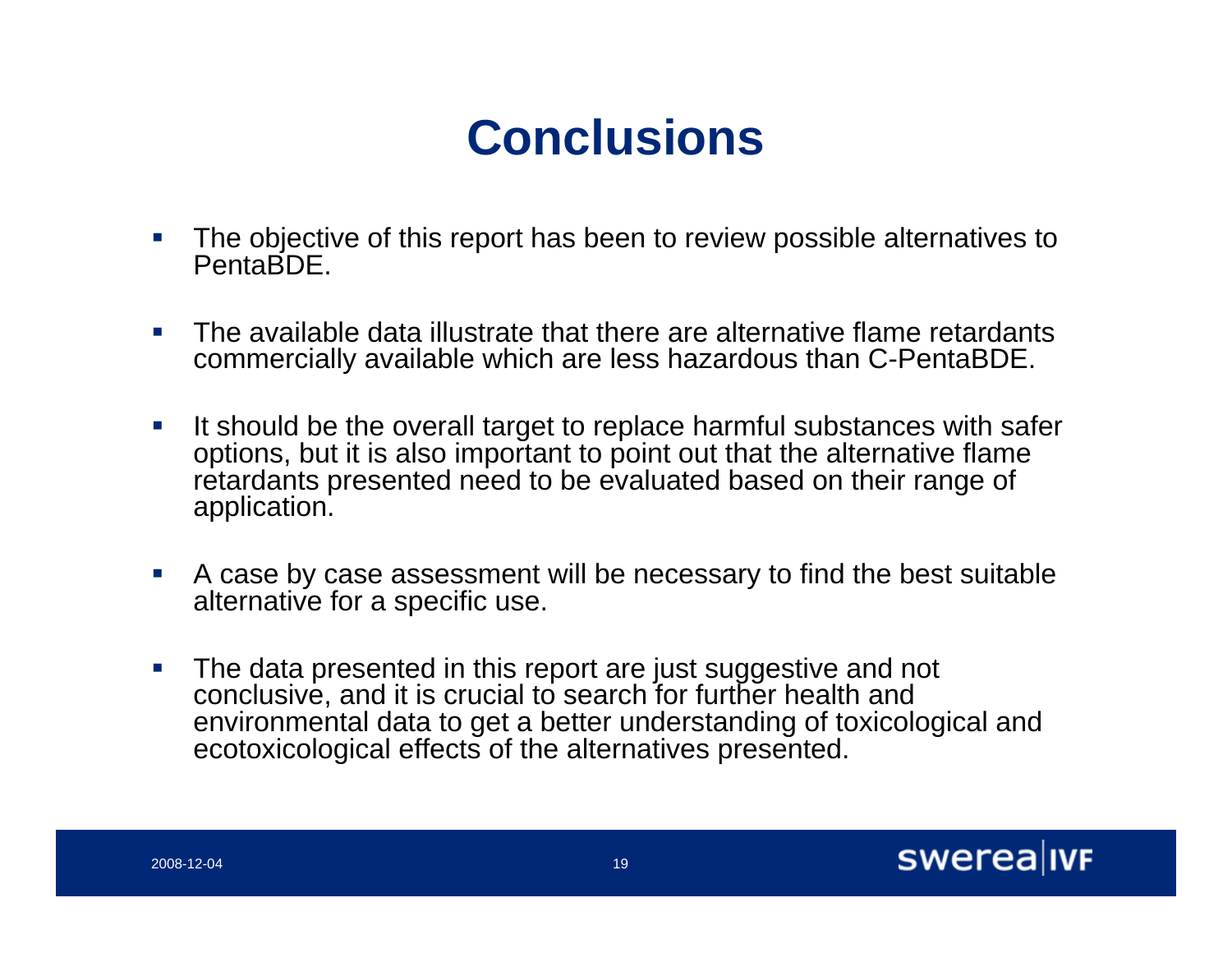### **Conclusions**

- m, The objective of this report has been to review possible alternatives to **PentaBDE**
- $\mathcal{L}_{\mathcal{A}}$  The available data illustrate that there are alternative flame retardants commercially available which are less hazardous than C-PentaBDE.
- $\mathcal{L}_{\mathcal{A}}$  It should be the overall target to replace harmful substances with safer options, but it is also important to point out that the alternative flame retardants presented need to be evaluated based on their range of application.
- $\mathcal{L}_{\mathcal{A}}$  A case by case assessment will be necessary to find the best suitable alternative for a specific use.
- $\mathcal{C}$  The data presented in this report are just suggestive and not conclusive, and it is crucial to search for further health and environmental data to get a better understanding of toxicological and ecotoxicological effects of the alternatives presented.

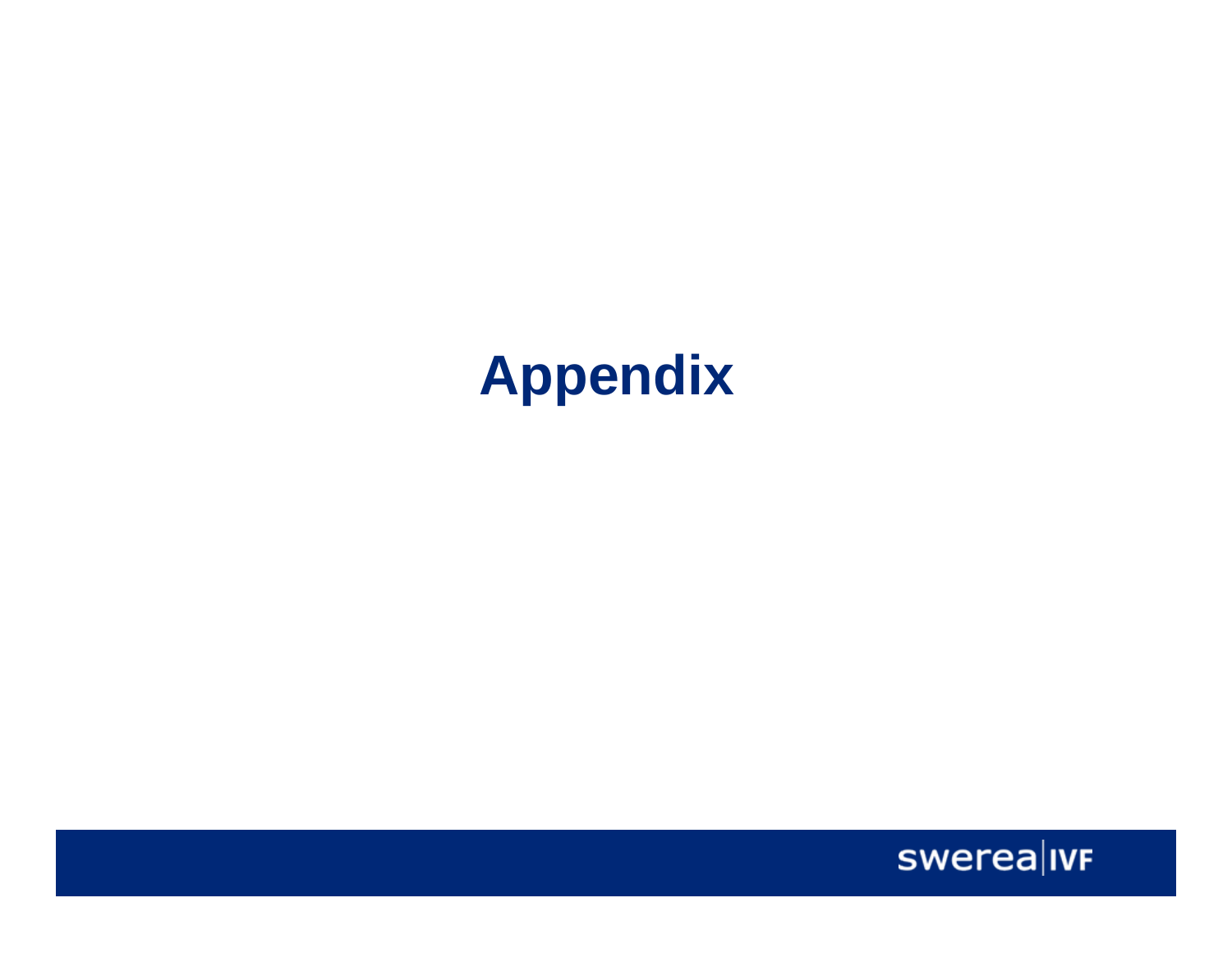# **Appendix**

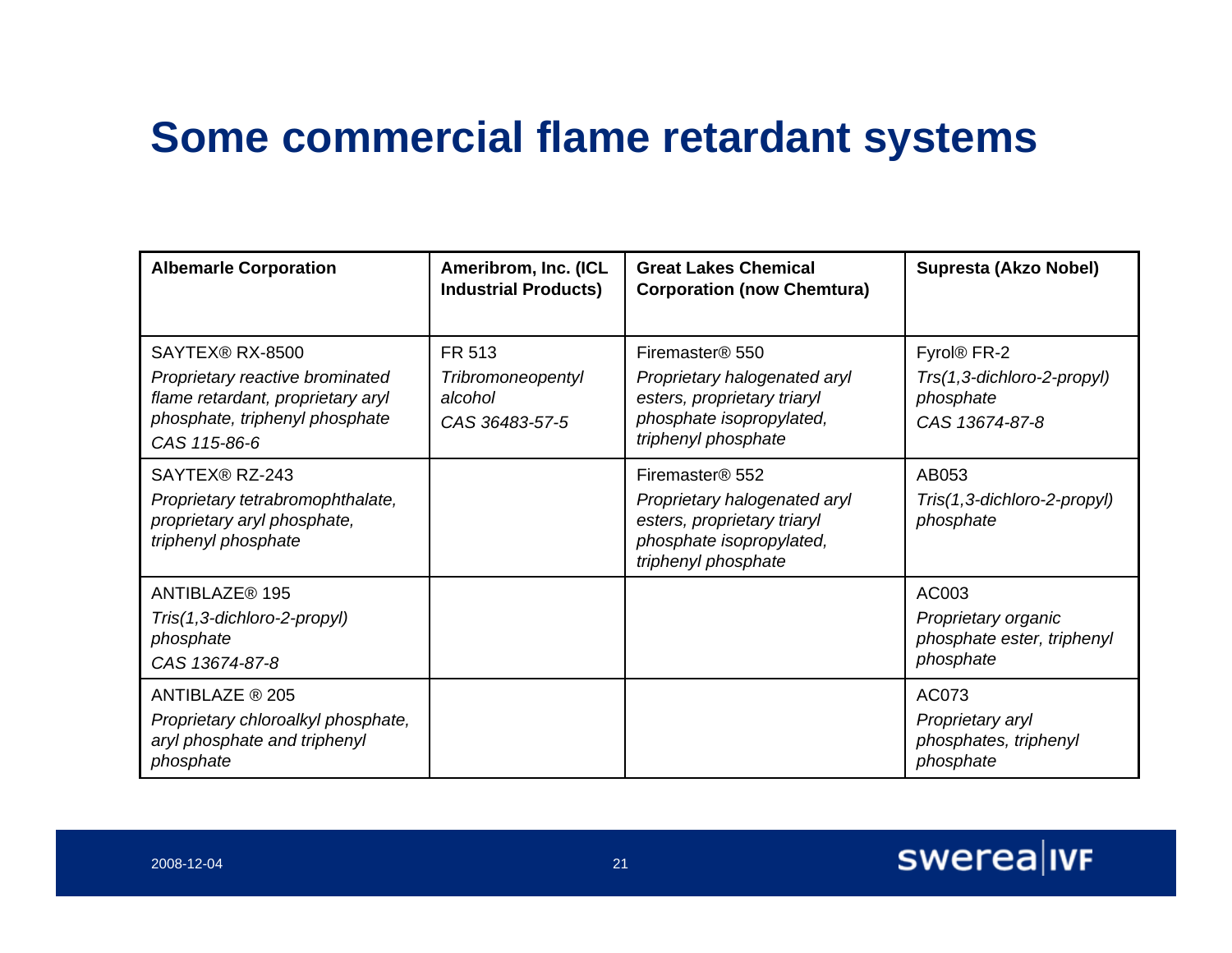### **Some commercial flame retardant systems**

| <b>Albemarle Corporation</b>                                                                                                              | Ameribrom, Inc. (ICL<br><b>Industrial Products)</b>             | <b>Great Lakes Chemical</b><br><b>Corporation (now Chemtura)</b>                                                                              | Supresta (Akzo Nobel)                                                                |
|-------------------------------------------------------------------------------------------------------------------------------------------|-----------------------------------------------------------------|-----------------------------------------------------------------------------------------------------------------------------------------------|--------------------------------------------------------------------------------------|
| SAYTEX® RX-8500<br>Proprietary reactive brominated<br>flame retardant, proprietary aryl<br>phosphate, triphenyl phosphate<br>CAS 115-86-6 | FR 513<br><b>Tribromoneopentyl</b><br>alcohol<br>CAS 36483-57-5 | Firemaster <sup>®</sup> 550<br>Proprietary halogenated aryl<br>esters, proprietary triaryl<br>phosphate isopropylated,<br>triphenyl phosphate | Fyrol <sup>®</sup> FR-2<br>Trs(1,3-dichloro-2-propyl)<br>phosphate<br>CAS 13674-87-8 |
| SAYTEX® RZ-243<br>Proprietary tetrabromophthalate,<br>proprietary aryl phosphate,<br>triphenyl phosphate                                  |                                                                 | Firemaster® 552<br>Proprietary halogenated aryl<br>esters, proprietary triaryl<br>phosphate isopropylated,<br>triphenyl phosphate             | AB053<br>Tris(1,3-dichloro-2-propyl)<br>phosphate                                    |
| ANTIBLAZE® 195<br>Tris(1,3-dichloro-2-propyl)<br>phosphate<br>CAS 13674-87-8                                                              |                                                                 |                                                                                                                                               | AC003<br>Proprietary organic<br>phosphate ester, triphenyl<br>phosphate              |
| ANTIBLAZE ® 205<br>Proprietary chloroalkyl phosphate,<br>aryl phosphate and triphenyl<br>phosphate                                        |                                                                 |                                                                                                                                               | AC073<br>Proprietary aryl<br>phosphates, triphenyl<br>phosphate                      |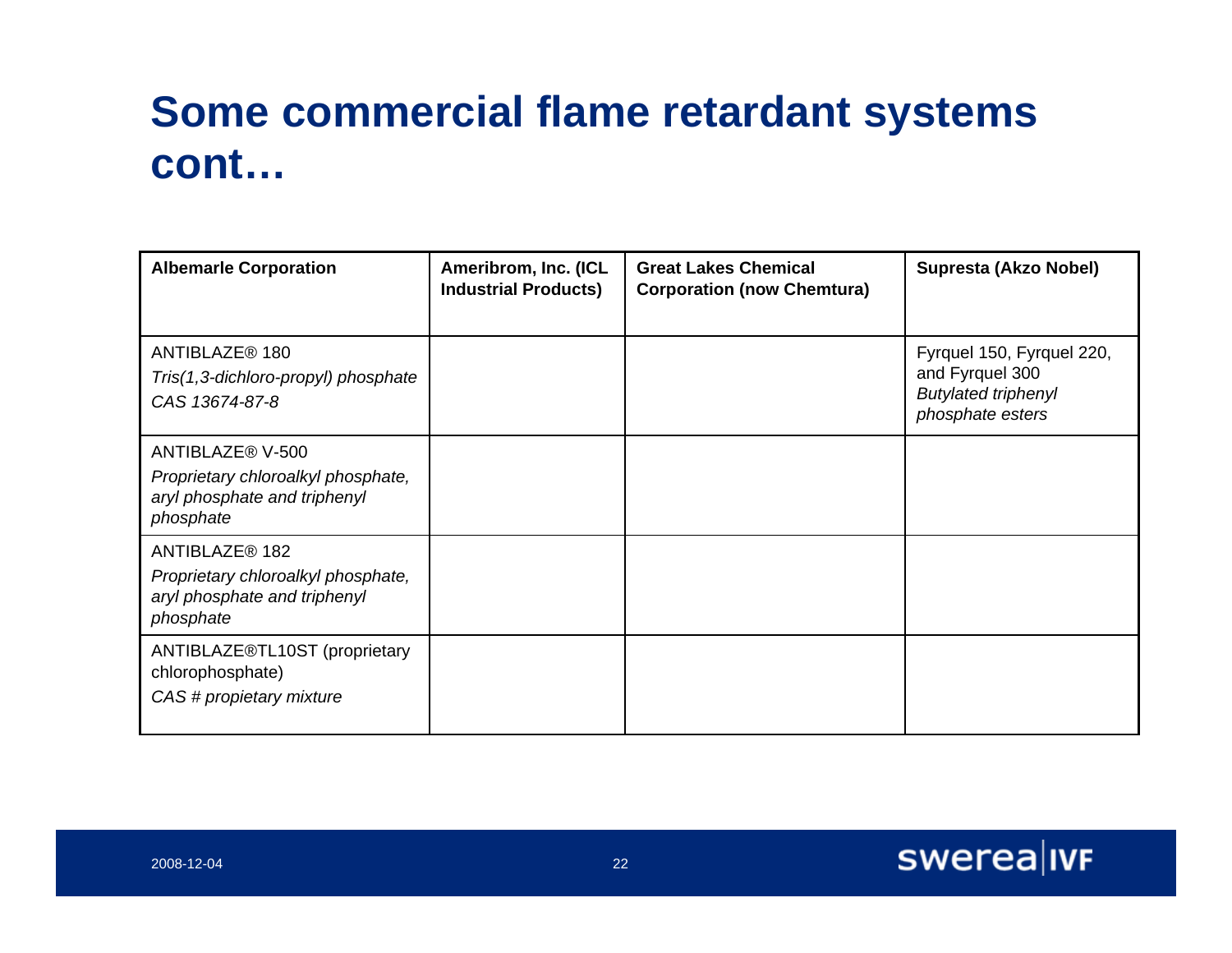### **Some commercial flame retardant systems cont…**

| <b>Albemarle Corporation</b>                                                                        | Ameribrom, Inc. (ICL<br><b>Industrial Products)</b> | <b>Great Lakes Chemical</b><br><b>Corporation (now Chemtura)</b> | Supresta (Akzo Nobel)                                                                          |
|-----------------------------------------------------------------------------------------------------|-----------------------------------------------------|------------------------------------------------------------------|------------------------------------------------------------------------------------------------|
| ANTIBLAZE <sup>®</sup> 180<br>Tris(1,3-dichloro-propyl) phosphate<br>CAS 13674-87-8                 |                                                     |                                                                  | Fyrquel 150, Fyrquel 220,<br>and Fyrquel 300<br><b>Butylated triphenyl</b><br>phosphate esters |
| ANTIBLAZE® V-500<br>Proprietary chloroalkyl phosphate,<br>aryl phosphate and triphenyl<br>phosphate |                                                     |                                                                  |                                                                                                |
| ANTIBLAZE® 182<br>Proprietary chloroalkyl phosphate,<br>aryl phosphate and triphenyl<br>phosphate   |                                                     |                                                                  |                                                                                                |
| ANTIBLAZE®TL10ST (proprietary<br>chlorophosphate)<br>CAS # propietary mixture                       |                                                     |                                                                  |                                                                                                |